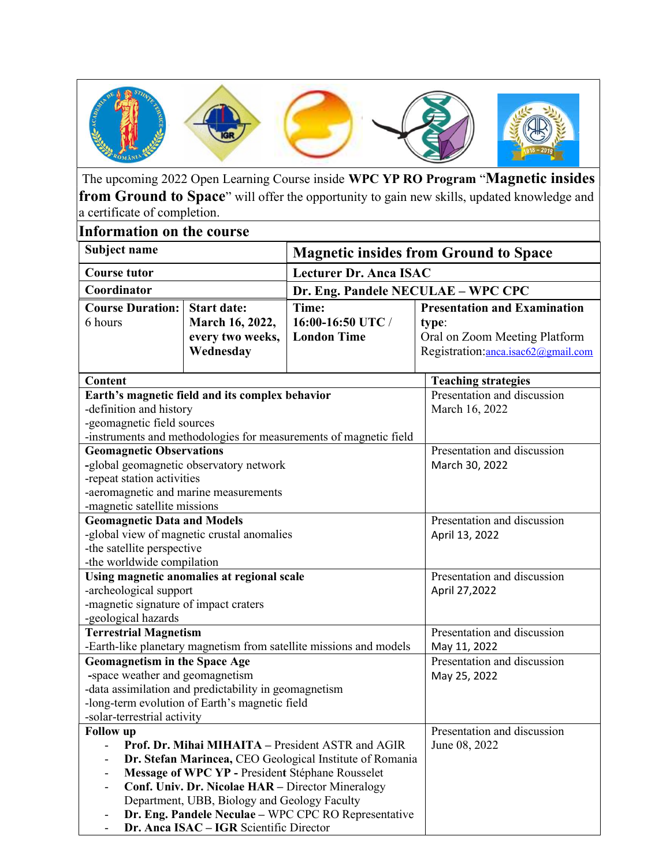

 The upcoming 2022 Open Learning Course inside WPC YP RO Program "Magnetic insides from Ground to Space" will offer the opportunity to gain new skills, updated knowledge and a certificate of completion.

| <b>Information on the course</b>                                                                  |                    |                                                                   |                                     |
|---------------------------------------------------------------------------------------------------|--------------------|-------------------------------------------------------------------|-------------------------------------|
| Subject name                                                                                      |                    | <b>Magnetic insides from Ground to Space</b>                      |                                     |
| <b>Course tutor</b>                                                                               |                    | <b>Lecturer Dr. Anca ISAC</b>                                     |                                     |
| Coordinator                                                                                       |                    | Dr. Eng. Pandele NECULAE - WPC CPC                                |                                     |
| <b>Course Duration:</b>                                                                           | <b>Start date:</b> | Time:                                                             | <b>Presentation and Examination</b> |
| 6 hours                                                                                           | March 16, 2022,    | 16:00-16:50 UTC /                                                 | type:                               |
|                                                                                                   | every two weeks,   | <b>London Time</b>                                                | Oral on Zoom Meeting Platform       |
|                                                                                                   | Wednesday          |                                                                   | Registration: anca.isac62@gmail.com |
| Content                                                                                           |                    |                                                                   | <b>Teaching strategies</b>          |
| Earth's magnetic field and its complex behavior                                                   |                    |                                                                   | Presentation and discussion         |
| -definition and history                                                                           |                    |                                                                   | March 16, 2022                      |
| -geomagnetic field sources                                                                        |                    |                                                                   |                                     |
|                                                                                                   |                    | -instruments and methodologies for measurements of magnetic field |                                     |
| <b>Geomagnetic Observations</b>                                                                   |                    |                                                                   | Presentation and discussion         |
| -global geomagnetic observatory network                                                           |                    |                                                                   | March 30, 2022                      |
| -repeat station activities                                                                        |                    |                                                                   |                                     |
| -aeromagnetic and marine measurements                                                             |                    |                                                                   |                                     |
| -magnetic satellite missions<br>Presentation and discussion                                       |                    |                                                                   |                                     |
| <b>Geomagnetic Data and Models</b><br>-global view of magnetic crustal anomalies                  |                    |                                                                   |                                     |
| -the satellite perspective                                                                        |                    |                                                                   | April 13, 2022                      |
| -the worldwide compilation                                                                        |                    |                                                                   |                                     |
| Using magnetic anomalies at regional scale                                                        |                    |                                                                   | Presentation and discussion         |
| -archeological support                                                                            |                    |                                                                   | April 27,2022                       |
| -magnetic signature of impact craters                                                             |                    |                                                                   |                                     |
| -geological hazards                                                                               |                    |                                                                   |                                     |
| <b>Terrestrial Magnetism</b>                                                                      |                    |                                                                   | Presentation and discussion         |
| -Earth-like planetary magnetism from satellite missions and models                                |                    |                                                                   | May 11, 2022                        |
| <b>Geomagnetism in the Space Age</b>                                                              |                    |                                                                   | Presentation and discussion         |
| -space weather and geomagnetism                                                                   |                    |                                                                   | May 25, 2022                        |
| -data assimilation and predictability in geomagnetism                                             |                    |                                                                   |                                     |
| -long-term evolution of Earth's magnetic field                                                    |                    |                                                                   |                                     |
| -solar-terrestrial activity                                                                       |                    |                                                                   |                                     |
| <b>Follow</b> up                                                                                  |                    |                                                                   | Presentation and discussion         |
| Prof. Dr. Mihai MIHAITA - President ASTR and AGIR                                                 |                    |                                                                   | June 08, 2022                       |
| Dr. Stefan Marincea, CEO Geological Institute of Romania                                          |                    |                                                                   |                                     |
| Message of WPC YP - President Stéphane Rousselet                                                  |                    |                                                                   |                                     |
| Conf. Univ. Dr. Nicolae HAR - Director Mineralogy<br>Department, UBB, Biology and Geology Faculty |                    |                                                                   |                                     |
| Dr. Eng. Pandele Neculae - WPC CPC RO Representative                                              |                    |                                                                   |                                     |
| Dr. Anca ISAC - IGR Scientific Director                                                           |                    |                                                                   |                                     |